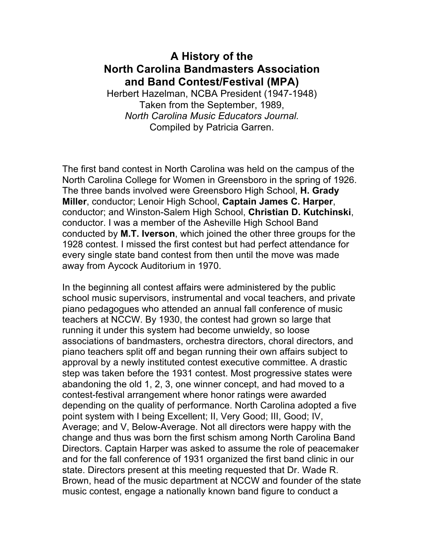## **A History of the North Carolina Bandmasters Association and Band Contest/Festival (MPA)**

Herbert Hazelman, NCBA President (1947-1948) Taken from the September, 1989, *North Carolina Music Educators Journal.* Compiled by Patricia Garren.

The first band contest in North Carolina was held on the campus of the North Carolina College for Women in Greensboro in the spring of 1926. The three bands involved were Greensboro High School, **H. Grady Miller**, conductor; Lenoir High School, **Captain James C. Harper**, conductor; and Winston-Salem High School, **Christian D. Kutchinski**, conductor. I was a member of the Asheville High School Band conducted by **M.T. Iverson**, which joined the other three groups for the 1928 contest. I missed the first contest but had perfect attendance for every single state band contest from then until the move was made away from Aycock Auditorium in 1970.

In the beginning all contest affairs were administered by the public school music supervisors, instrumental and vocal teachers, and private piano pedagogues who attended an annual fall conference of music teachers at NCCW. By 1930, the contest had grown so large that running it under this system had become unwieldy, so loose associations of bandmasters, orchestra directors, choral directors, and piano teachers split off and began running their own affairs subject to approval by a newly instituted contest executive committee. A drastic step was taken before the 1931 contest. Most progressive states were abandoning the old 1, 2, 3, one winner concept, and had moved to a contest-festival arrangement where honor ratings were awarded depending on the quality of performance. North Carolina adopted a five point system with I being Excellent; II, Very Good; III, Good; IV, Average; and V, Below-Average. Not all directors were happy with the change and thus was born the first schism among North Carolina Band Directors. Captain Harper was asked to assume the role of peacemaker and for the fall conference of 1931 organized the first band clinic in our state. Directors present at this meeting requested that Dr. Wade R. Brown, head of the music department at NCCW and founder of the state music contest, engage a nationally known band figure to conduct a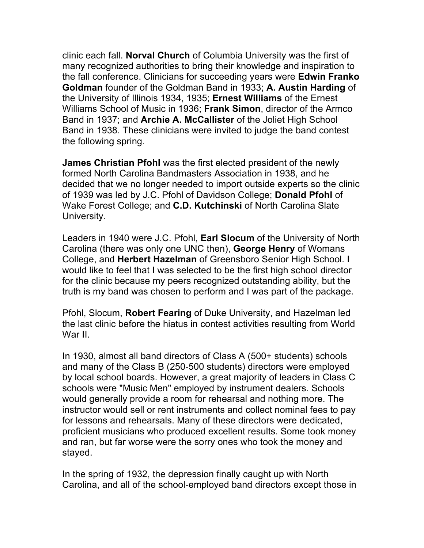clinic each fall. **Norval Church** of Columbia University was the first of many recognized authorities to bring their knowledge and inspiration to the fall conference. Clinicians for succeeding years were **Edwin Franko Goldman** founder of the Goldman Band in 1933; **A. Austin Harding** of the University of Illinois 1934, 1935; **Ernest Williams** of the Ernest Williams School of Music in 1936; **Frank Simon**, director of the Armco Band in 1937; and **Archie A. McCallister** of the Joliet High School Band in 1938. These clinicians were invited to judge the band contest the following spring.

**James Christian Pfohl** was the first elected president of the newly formed North Carolina Bandmasters Association in 1938, and he decided that we no longer needed to import outside experts so the clinic of 1939 was led by J.C. Pfohl of Davidson College; **Donald Pfohl** of Wake Forest College; and **C.D. Kutchinski** of North Carolina Slate University.

Leaders in 1940 were J.C. Pfohl, **Earl Slocum** of the University of North Carolina (there was only one UNC then), **George Henry** of Womans College, and **Herbert Hazelman** of Greensboro Senior High School. I would like to feel that I was selected to be the first high school director for the clinic because my peers recognized outstanding ability, but the truth is my band was chosen to perform and I was part of the package.

Pfohl, Slocum, **Robert Fearing** of Duke University, and Hazelman led the last clinic before the hiatus in contest activities resulting from World War II.

In 1930, almost all band directors of Class A (500+ students) schools and many of the Class B (250-500 students) directors were employed by local school boards. However, a great majority of leaders in Class C schools were "Music Men" employed by instrument dealers. Schools would generally provide a room for rehearsal and nothing more. The instructor would sell or rent instruments and collect nominal fees to pay for lessons and rehearsals. Many of these directors were dedicated, proficient musicians who produced excellent results. Some took money and ran, but far worse were the sorry ones who took the money and stayed.

In the spring of 1932, the depression finally caught up with North Carolina, and all of the school-employed band directors except those in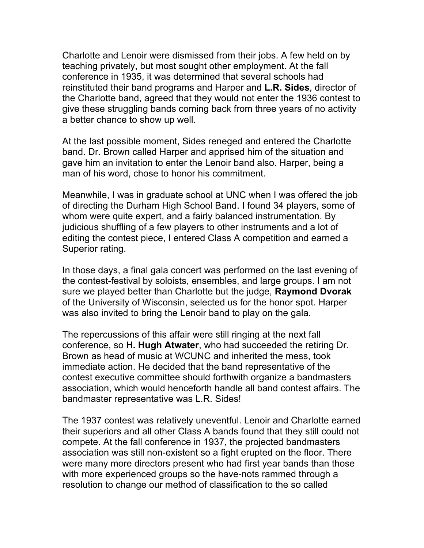Charlotte and Lenoir were dismissed from their jobs. A few held on by teaching privately, but most sought other employment. At the fall conference in 1935, it was determined that several schools had reinstituted their band programs and Harper and **L.R. Sides**, director of the Charlotte band, agreed that they would not enter the 1936 contest to give these struggling bands coming back from three years of no activity a better chance to show up well.

At the last possible moment, Sides reneged and entered the Charlotte band. Dr. Brown called Harper and apprised him of the situation and gave him an invitation to enter the Lenoir band also. Harper, being a man of his word, chose to honor his commitment.

Meanwhile, I was in graduate school at UNC when I was offered the job of directing the Durham High School Band. I found 34 players, some of whom were quite expert, and a fairly balanced instrumentation. By judicious shuffling of a few players to other instruments and a lot of editing the contest piece, I entered Class A competition and earned a Superior rating.

In those days, a final gala concert was performed on the last evening of the contest-festival by soloists, ensembles, and large groups. I am not sure we played better than Charlotte but the judge, **Raymond Dvorak** of the University of Wisconsin, selected us for the honor spot. Harper was also invited to bring the Lenoir band to play on the gala.

The repercussions of this affair were still ringing at the next fall conference, so **H. Hugh Atwater**, who had succeeded the retiring Dr. Brown as head of music at WCUNC and inherited the mess, took immediate action. He decided that the band representative of the contest executive committee should forthwith organize a bandmasters association, which would henceforth handle all band contest affairs. The bandmaster representative was L.R. Sides!

The 1937 contest was relatively uneventful. Lenoir and Charlotte earned their superiors and all other Class A bands found that they still could not compete. At the fall conference in 1937, the projected bandmasters association was still non-existent so a fight erupted on the floor. There were many more directors present who had first year bands than those with more experienced groups so the have-nots rammed through a resolution to change our method of classification to the so called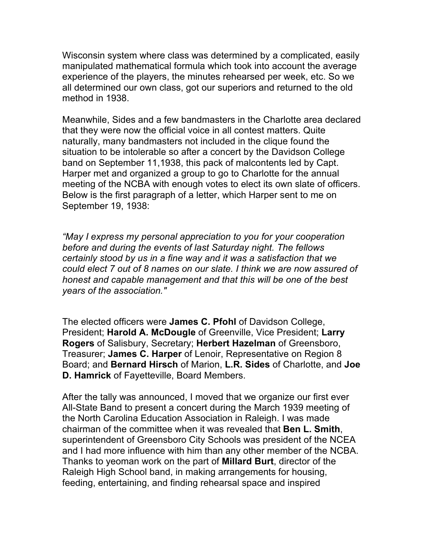Wisconsin system where class was determined by a complicated, easily manipulated mathematical formula which took into account the average experience of the players, the minutes rehearsed per week, etc. So we all determined our own class, got our superiors and returned to the old method in 1938.

Meanwhile, Sides and a few bandmasters in the Charlotte area declared that they were now the official voice in all contest matters. Quite naturally, many bandmasters not included in the clique found the situation to be intolerable so after a concert by the Davidson College band on September 11,1938, this pack of malcontents led by Capt. Harper met and organized a group to go to Charlotte for the annual meeting of the NCBA with enough votes to elect its own slate of officers. Below is the first paragraph of a letter, which Harper sent to me on September 19, 1938:

*"May I express my personal appreciation to you for your cooperation before and during the events of last Saturday night. The fellows certainly stood by us in a fine way and it was a satisfaction that we could elect 7 out of 8 names on our slate. I think we are now assured of honest and capable management and that this will be one of the best years of the association."*

The elected officers were **James C. Pfohl** of Davidson College, President; **Harold A. McDougle** of Greenville, Vice President; **Larry Rogers** of Salisbury, Secretary; **Herbert Hazelman** of Greensboro, Treasurer; **James C. Harper** of Lenoir, Representative on Region 8 Board; and **Bernard Hirsch** of Marion, **L.R. Sides** of Charlotte, and **Joe D. Hamrick** of Fayetteville, Board Members.

After the tally was announced, I moved that we organize our first ever All-State Band to present a concert during the March 1939 meeting of the North Carolina Education Association in Raleigh. I was made chairman of the committee when it was revealed that **Ben L. Smith**, superintendent of Greensboro City Schools was president of the NCEA and I had more influence with him than any other member of the NCBA. Thanks to yeoman work on the part of **Millard Burt**, director of the Raleigh High School band, in making arrangements for housing, feeding, entertaining, and finding rehearsal space and inspired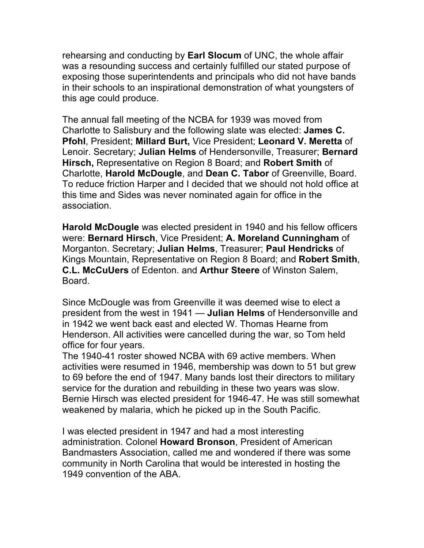rehearsing and conducting by **Earl Slocum** of UNC, the whole affair was a resounding success and certainly fulfilled our stated purpose of exposing those superintendents and principals who did not have bands in their schools to an inspirational demonstration of what youngsters of this age could produce.

The annual fall meeting of the NCBA for 1939 was moved from Charlotte to Salisbury and the following slate was elected: **James C. Pfohl**, President; **Millard Burt,** Vice President; **Leonard V. Meretta** of Lenoir. Secretary; **Julian Helms** of Hendersonville, Treasurer; **Bernard Hirsch,** Representative on Region 8 Board; and **Robert Smith** of Charlotte, **Harold McDougle**, and **Dean C. Tabor** of Greenville, Board. To reduce friction Harper and I decided that we should not hold office at this time and Sides was never nominated again for office in the association.

**Harold McDougle** was elected president in 1940 and his fellow officers were: **Bernard Hirsch**, Vice President; **A. Moreland Cunningham** of Morganton. Secretary; **Julian Helms**, Treasurer; **Paul Hendricks** of Kings Mountain, Representative on Region 8 Board; and **Robert Smith**, **C.L. McCuUers** of Edenton. and **Arthur Steere** of Winston Salem, Board.

Since McDougle was from Greenville it was deemed wise to elect a president from the west in 1941 — **Julian Helms** of Hendersonville and in 1942 we went back east and elected W. Thomas Hearne from Henderson. All activities were cancelled during the war, so Tom held office for four years.

The 1940-41 roster showed NCBA with 69 active members. When activities were resumed in 1946, membership was down to 51 but grew to 69 before the end of 1947. Many bands lost their directors to military service for the duration and rebuilding in these two years was slow. Bernie Hirsch was elected president for 1946-47. He was still somewhat weakened by malaria, which he picked up in the South Pacific.

I was elected president in 1947 and had a most interesting administration. Colonel **Howard Bronson**, President of American Bandmasters Association, called me and wondered if there was some community in North Carolina that would be interested in hosting the 1949 convention of the ABA.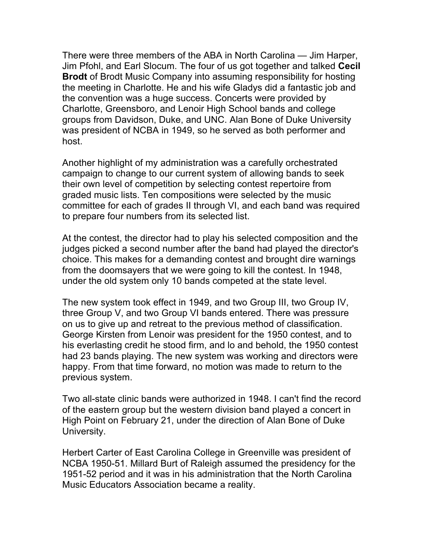There were three members of the ABA in North Carolina — Jim Harper, Jim Pfohl, and Earl Slocum. The four of us got together and talked **Cecil Brodt** of Brodt Music Company into assuming responsibility for hosting the meeting in Charlotte. He and his wife Gladys did a fantastic job and the convention was a huge success. Concerts were provided by Charlotte, Greensboro, and Lenoir High School bands and college groups from Davidson, Duke, and UNC. Alan Bone of Duke University was president of NCBA in 1949, so he served as both performer and host.

Another highlight of my administration was a carefully orchestrated campaign to change to our current system of allowing bands to seek their own level of competition by selecting contest repertoire from graded music lists. Ten compositions were selected by the music committee for each of grades II through VI, and each band was required to prepare four numbers from its selected list.

At the contest, the director had to play his selected composition and the judges picked a second number after the band had played the director's choice. This makes for a demanding contest and brought dire warnings from the doomsayers that we were going to kill the contest. In 1948, under the old system only 10 bands competed at the state level.

The new system took effect in 1949, and two Group III, two Group IV, three Group V, and two Group VI bands entered. There was pressure on us to give up and retreat to the previous method of classification. George Kirsten from Lenoir was president for the 1950 contest, and to his everlasting credit he stood firm, and lo and behold, the 1950 contest had 23 bands playing. The new system was working and directors were happy. From that time forward, no motion was made to return to the previous system.

Two all-state clinic bands were authorized in 1948. I can't find the record of the eastern group but the western division band played a concert in High Point on February 21, under the direction of Alan Bone of Duke University.

Herbert Carter of East Carolina College in Greenville was president of NCBA 1950-51. Millard Burt of Raleigh assumed the presidency for the 1951-52 period and it was in his administration that the North Carolina Music Educators Association became a reality.